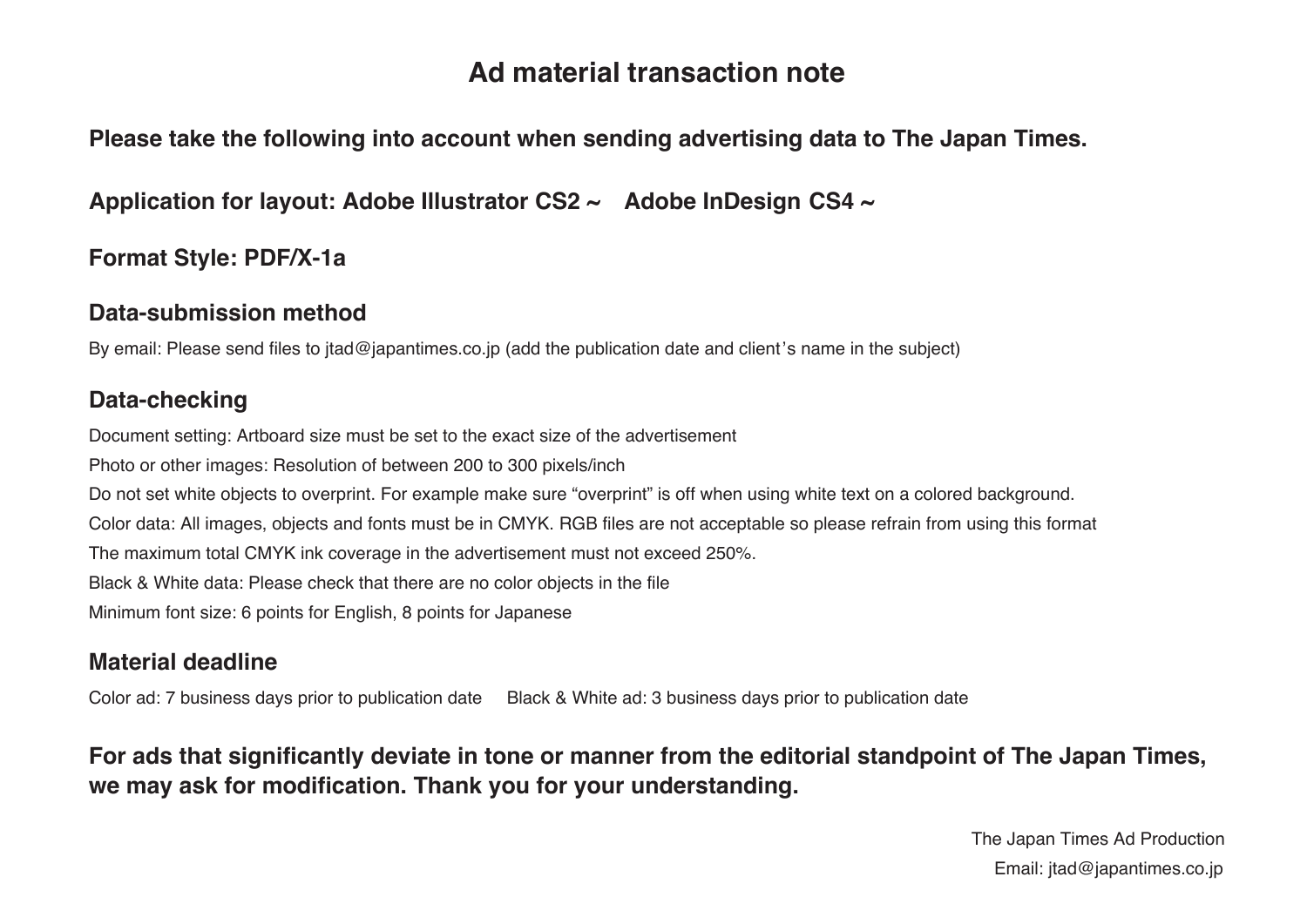# **Ad material transaction note**

## **Please take the following into account when sending advertising data to The Japan Times.**

**Application for layout: Adobe Illustrator CS2 ~ Adobe InDesign CS4 ~**

## **Format Style: PDF/X-1a**

#### **Data-submission method**

By email: Please send files to jtad@japantimes.co.jp (add the publication date and client's name in the subject)

# **Data-checking**

Document setting: Artboard size must be set to the exact size of the advertisement Photo or other images: Resolution of between 200 to 300 pixels/inch Do not set white objects to overprint. For example make sure "overprint" is off when using white text on a colored background. Color data: All images, objects and fonts must be in CMYK. RGB files are not acceptable so please refrain from using this format The maximum total CMYK ink coverage in the advertisement must not exceed 250%. Black & White data: Please check that there are no color objects in the file Minimum font size: 6 points for English, 8 points for Japanese

## **Material deadline**

Color ad: 7 business days prior to publication date Black & White ad: 3 business days prior to publication date

**For ads that significantly deviate in tone or manner from the editorial standpoint of The Japan Times, we may ask for modification. Thank you for your understanding.**